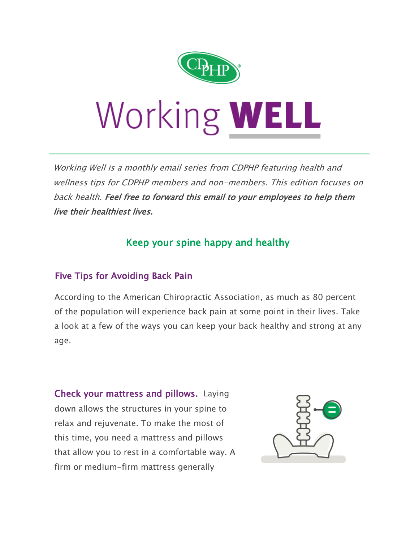

## Working WELL

Working Well is a monthly email series from CDPHP featuring health and wellness tips for CDPHP members and non-members. This edition focuses on back health. Feel free to forward this email to your employees to help them live their healthiest lives.

## Keep your spine happy and healthy

## Five Tips for Avoiding Back Pain

According to the American Chiropractic Association, as much as 80 percent of the population will experience back pain at some point in their lives. Take a look at a few of the ways you can keep your back healthy and strong at any age.

Check your mattress and pillows. Laying down allows the structures in your spine to relax and rejuvenate. To make the most of this time, you need a mattress and pillows that allow you to rest in a comfortable way. A firm or medium-firm mattress generally

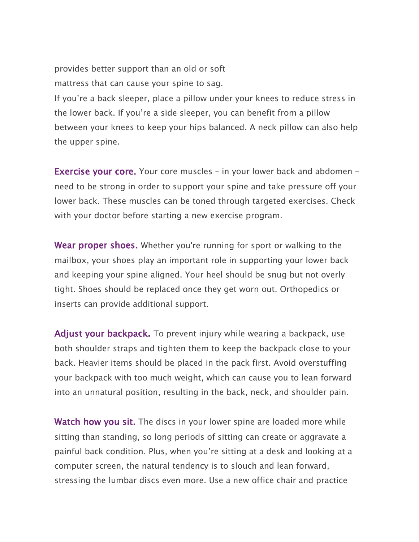provides better support than an old or soft mattress that can cause your spine to sag.

If you're a back sleeper, place a pillow under your knees to reduce stress in the lower back. If you're a side sleeper, you can benefit from a pillow between your knees to keep your hips balanced. A neck pillow can also help the upper spine.

**Exercise your core.** Your core muscles - in your lower back and abdomen need to be strong in order to support your spine and take pressure off your lower back. These muscles can be toned through targeted exercises. Check with your doctor before starting a new exercise program.

Wear proper shoes. Whether you're running for sport or walking to the mailbox, your shoes play an important role in supporting your lower back and keeping your spine aligned. Your heel should be snug but not overly tight. Shoes should be replaced once they get worn out. Orthopedics or inserts can provide additional support.

Adjust your backpack. To prevent injury while wearing a backpack, use both shoulder straps and tighten them to keep the backpack close to your back. Heavier items should be placed in the pack first. Avoid overstuffing your backpack with too much weight, which can cause you to lean forward into an unnatural position, resulting in the back, neck, and shoulder pain.

**Watch how you sit.** The discs in your lower spine are loaded more while sitting than standing, so long periods of sitting can create or aggravate a painful back condition. Plus, when you're sitting at a desk and looking at a computer screen, the natural tendency is to slouch and lean forward, stressing the lumbar discs even more. Use a new office chair and practice